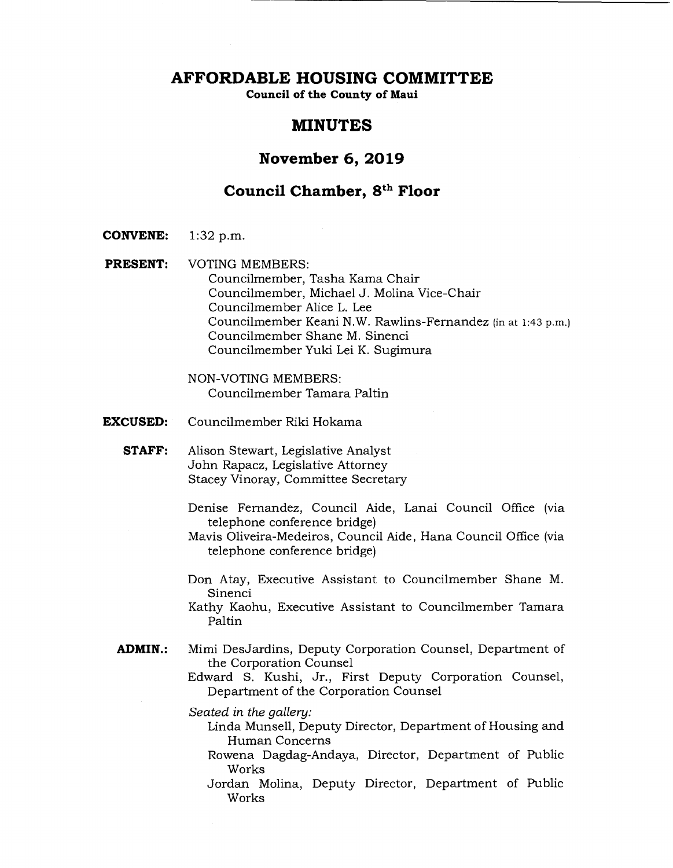**AFFORDABLE HOUSING COMMITTEE** 

**Council of the County of Maui** 

# **MINUTES**

## **November 6, 2019**

# **Council Chamber, 8th Floor**

- **CONVENE:** 1:32 p.m.
- **PRESENT:** VOTING MEMBERS: Councilmember, Tasha Kama Chair Councilmember, Michael J. Molina Vice-Chair Councilmember Alice L. Lee Councilmember Keani N.W. Rawlins-Fernandez (in at 1:43 p.m.) Councilmember Shane M. Sinenci Councilmember Yuki Lei K. Sugimura

NON-VOTING MEMBERS: Councilmember Tamara Paltin

- **EXCUSED:** Councilmember Riki Hokama
	- **STAFF:** Alison Stewart, Legislative Analyst John Rapacz, Legislative Attorney Stacey Vinoray, Committee Secretary
		- Denise Fernandez, Council Aide, Lanai Council Office (via telephone conference bridge)
		- Mavis Oliveira-Medeiros, Council Aide, Hana Council Office (via telephone conference bridge)
		- Don Atay, Executive Assistant to Councilmember Shane M. Sinenci
		- Kathy Kaohu, Executive Assistant to Councilmember Tamara Paltin
	- **ADMIN.:** Mimi DesJardins, Deputy Corporation Counsel, Department of the Corporation Counsel

Edward S. Kushi, Jr., First Deputy Corporation Counsel, Department of the Corporation Counsel

*Seated in the gallery:* 

- Linda Munsell, Deputy Director, Department of Housing and Human Concerns
- Rowena Dagdag-Andaya, Director, Department of Public Works
- Jordan Molina, Deputy Director, Department of Public Works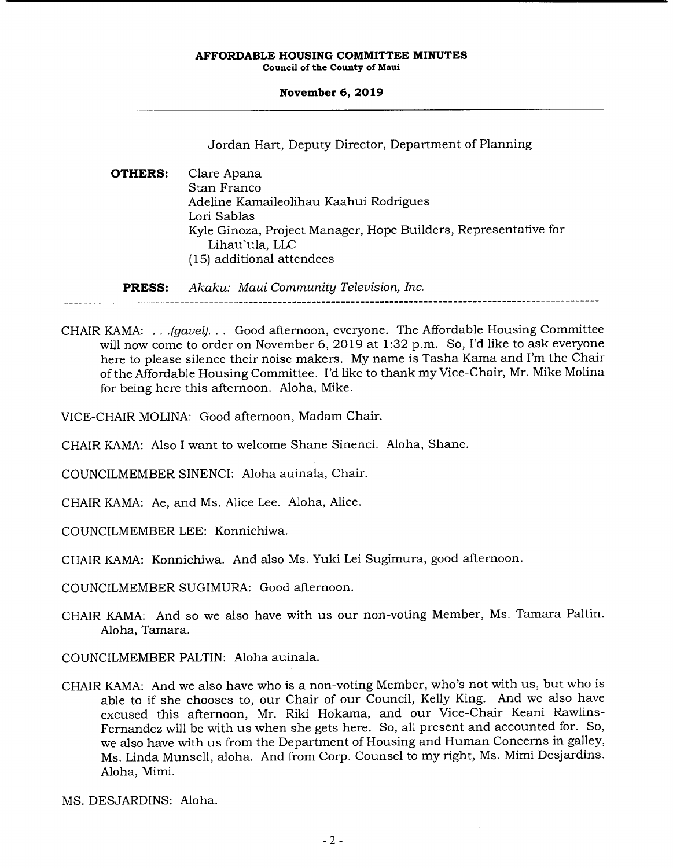**November 6, 2019** 

Jordan Hart, Deputy Director, Department of Planning

**OTHERS:** Clare Apana Stan Franco Adeline Kamaileolihau Kaahui Rodrigues Lori Sablas Kyle Ginoza, Project Manager, Hope Builders, Representative for Lihau'ula, LLC (15) additional attendees

**PRESS:** *Akaku: Maui Community Television, Inc.* 

- CHAIR KAMA: . . *.(gavel). . .* Good afternoon, everyone. The Affordable Housing Committee will now come to order on November 6, 2019 at 1:32 p.m. So, I'd like to ask everyone here to please silence their noise makers. My name is Tasha Kama and I'm the Chair of the Affordable Housing Committee. I'd like to thank my Vice-Chair, Mr. Mike Molina for being here this afternoon. Aloha, Mike.
- VICE-CHAIR MOLINA: Good afternoon, Madam Chair.
- CHAIR KAMA: Also I want to welcome Shane Sinenci. Aloha, Shane.
- COUNCILMEMBER SINENCI: Aloha auinala, Chair.
- CHAIR KAMA: Ae, and Ms. Alice Lee. Aloha, Alice.
- COUNCILMEMBER LEE: Konnichiwa.
- CHAIR KAMA: Konnichiwa. And also Ms. Yuki Lei Sugimura, good afternoon.

COUNCILMEMBER SUGIMURA: Good afternoon.

CHAIR KAMA: And so we also have with us our non-voting Member, Ms. Tamara Paltin. Aloha, Tamara.

COUNCILMEMBER PALTIN: Aloha auinala.

CHAIR KAMA: And we also have who is a non-voting Member, who's not with us, but who is able to if she chooses to, our Chair of our Council, Kelly King. And we also have excused this afternoon, Mr. Riki Hokama, and our Vice-Chair Keani Rawlins-Fernandez will be with us when she gets here. So, all present and accounted for. So, we also have with us from the Department of Housing and Human Concerns in galley, Ms. Linda Munsell, aloha. And from Corp. Counsel to my right, Ms. Mimi Desjardins. Aloha, Mimi.

MS. DESJARDINS: Aloha.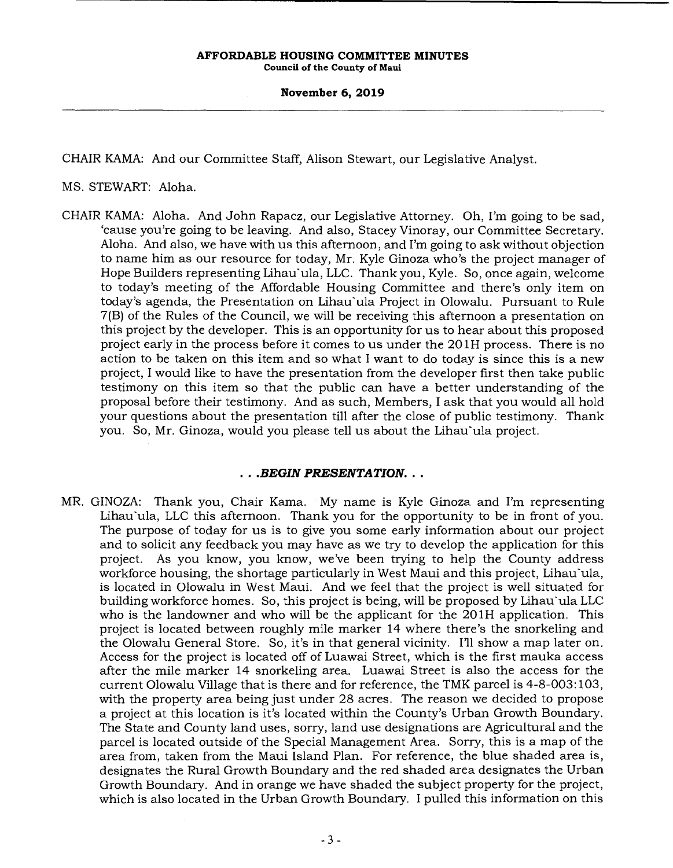**November 6, 2019** 

CHAIR KAMA: And our Committee Staff, Alison Stewart, our Legislative Analyst.

MS. STEWART: Aloha.

CHAIR KAMA: Aloha. And John Rapacz, our Legislative Attorney. Oh, I'm going to be sad, 'cause you're going to be leaving. And also, Stacey Vinoray, our Committee Secretary. Aloha. And also, we have with us this afternoon, and I'm going to ask without objection to name him as our resource for today, Mr. Kyle Ginoza who's the project manager of Hope Builders representing Lihau`ula, LLC. Thank you, Kyle. So, once again, welcome to today's meeting of the Affordable Housing Committee and there's only item on today's agenda, the Presentation on Lihau'ula Project in Olowalu. Pursuant to Rule 7(B) of the Rules of the Council, we will be receiving this afternoon a presentation on this project by the developer. This is an opportunity for us to hear about this proposed project early in the process before it comes to us under the 201H process. There is no action to be taken on this item and so what I want to do today is since this is a new project, I would like to have the presentation from the developer first then take public testimony on this item so that the public can have a better understanding of the proposal before their testimony. And as such, Members, I ask that you would all hold your questions about the presentation till after the close of public testimony. Thank you. So, Mr. Ginoza, would you please tell us about the Lihau'ula project.

## *• .BEGIN PRESENTATION...*

MR. GINOZA: Thank you, Chair Kama. My name is Kyle Ginoza and I'm representing Lihau'ula, LLC this afternoon. Thank you for the opportunity to be in front of you. The purpose of today for us is to give you some early information about our project and to solicit any feedback you may have as we try to develop the application for this project. As you know, you know, we've been trying to help the County address workforce housing, the shortage particularly in West Maui and this project, Lihau'ula, is located in Olowalu in West Maui. And we feel that the project is well situated for building workforce homes. So, this project is being, will be proposed by Lihau'ula LLC who is the landowner and who will be the applicant for the 201H application. This project is located between roughly mile marker 14 where there's the snorkeling and the Olowalu General Store. So, it's in that general vicinity. I'll show a map later on. Access for the project is located off of Luawai Street, which is the first mauka access after the mile marker 14 snorkeling area. Luawai Street is also the access for the current Olowalu Village that is there and for reference, the TMK parcel is 4-8-003:103, with the property area being just under 28 acres. The reason we decided to propose a project at this location is it's located within the County's Urban Growth Boundary. The State and County land uses, sorry, land use designations are Agricultural and the parcel is located outside of the Special Management Area. Sorry, this is a map of the area from, taken from the Maui Island Plan. For reference, the blue shaded area is, designates the Rural Growth Boundary and the red shaded area designates the Urban Growth Boundary. And in orange we have shaded the subject property for the project, which is also located in the Urban Growth Boundary. I pulled this information on this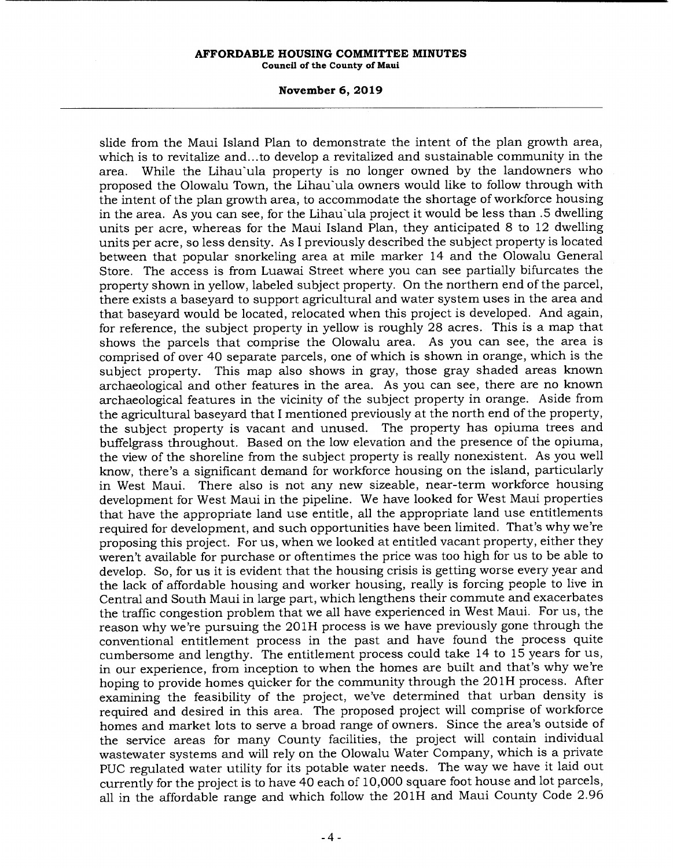#### **November 6, 2019**

slide from the Maui Island Plan to demonstrate the intent of the plan growth area, which is to revitalize and.. .to develop a revitalized and sustainable community in the area. While the Lihau'ula property is no longer owned by the landowners who proposed the Olowalu Town, the Lihau'ula owners would like to follow through with the intent of the plan growth area, to accommodate the shortage of workforce housing in the area. As you can see, for the Lihau'ula project it would be less than .5 dwelling units per acre, whereas for the Maui Island Plan, they anticipated 8 to 12 dwelling units per acre, so less density. As I previously described the subject property is located between that popular snorkeling area at mile marker 14 and the Olowalu General Store. The access is from Luawai Street where you can see partially bifurcates the property shown in yellow, labeled subject property. On the northern end of the parcel, there exists a baseyard to support agricultural and water system uses in the area and that baseyard would be located, relocated when this project is developed. And again, for reference, the subject property in yellow is roughly 28 acres. This is a map that shows the parcels that comprise the Olowalu area. As you can see, the area is comprised of over 40 separate parcels, one of which is shown in orange, which is the subject property. This map also shows in gray, those gray shaded areas known archaeological and other features in the area. As you can see, there are no known archaeological features in the vicinity of the subject property in orange. Aside from the agricultural baseyard that I mentioned previously at the north end of the property, the subject property is vacant and unused. The property has opiuma trees and buffelgrass throughout. Based on the low elevation and the presence of the opiuma, the view of the shoreline from the subject property is really nonexistent. As you well know, there's a significant demand for workforce housing on the island, particularly in West Maui. There also is not any new sizeable, near-term workforce housing development for West Maui in the pipeline. We have looked for West Maui properties that have the appropriate land use entitle, all the appropriate land use entitlements required for development, and such opportunities have been limited. That's why we're proposing this project. For us, when we looked at entitled vacant property, either they weren't available for purchase or oftentimes the price was too high for us to be able to develop. So, for us it is evident that the housing crisis is getting worse every year and the lack of affordable housing and worker housing, really is forcing people to live in Central and South Maui in large part, which lengthens their commute and exacerbates the traffic congestion problem that we all have experienced in West Maui. For us, the reason why we're pursuing the 201H process is we have previously gone through the conventional entitlement process in the past and have found the process quite cumbersome and lengthy. The entitlement process could take 14 to 15 years for us, in our experience, from inception to when the homes are built and that's why we're hoping to provide homes quicker for the community through the 201H process. After examining the feasibility of the project, we've determined that urban density is required and desired in this area. The proposed project will comprise of workforce homes and market lots to serve a broad range of owners. Since the area's outside of the service areas for many County facilities, the project will contain individual wastewater systems and will rely on the Olowalu Water Company, which is a private PUC regulated water utility for its potable water needs. The way we have it laid out currently for the project is to have 40 each of 10,000 square foot house and lot parcels, all in the affordable range and which follow the 201H and Maui County Code 2.96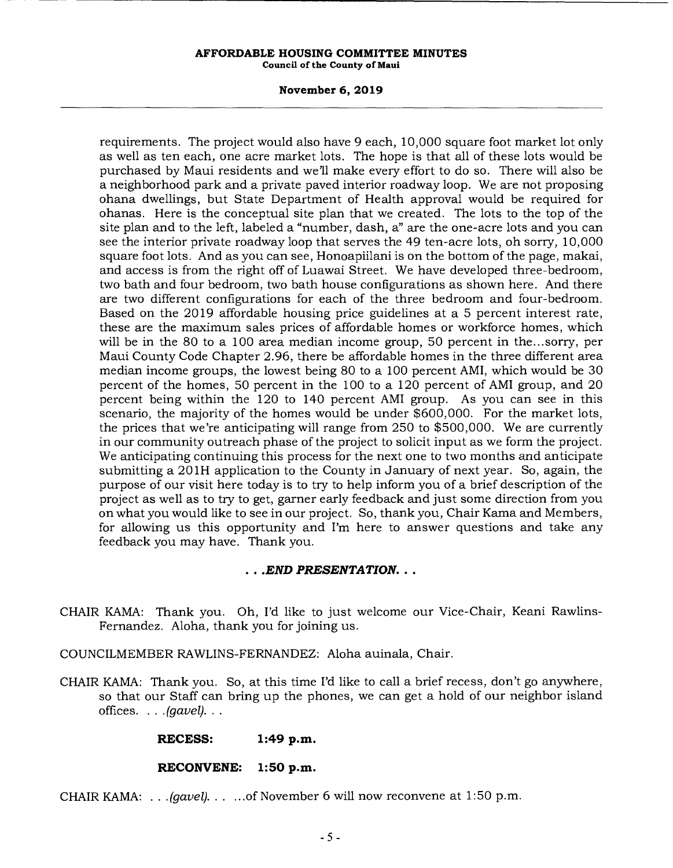#### **November 6, 2019**

requirements. The project would also have 9 each, 10,000 square foot market lot only as well as ten each, one acre market lots. The hope is that all of these lots would be purchased by Maui residents and well make every effort to do so. There will also be a neighborhood park and a private paved interior roadway loop. We are not proposing ohana dwellings, but State Department of Health approval would be required for ohanas. Here is the conceptual site plan that we created. The lots to the top of the site plan and to the left, labeled a "number, dash, a" are the one-acre lots and you can see the interior private roadway loop that serves the 49 ten-acre lots, oh sorry, 10,000 square foot lots. And as you can see, Honoapiilani is on the bottom of the page, makai, and access is from the right off of Luawai Street. We have developed three-bedroom, two bath and four bedroom, two bath house configurations as shown here. And there are two different configurations for each of the three bedroom and four-bedroom. Based on the 2019 affordable housing price guidelines at a 5 percent interest rate, these are the maximum sales prices of affordable homes or workforce homes, which will be in the 80 to a 100 area median income group, 50 percent in the.. .sorry, per Maui County Code Chapter 2.96, there be affordable homes in the three different area median income groups, the lowest being 80 to a 100 percent AMI, which would be 30 percent of the homes, 50 percent in the 100 to a 120 percent of AMI group, and 20 percent being within the 120 to 140 percent AMI group. As you can see in this scenario, the majority of the homes would be under \$600,000. For the market lots, the prices that we're anticipating will range from 250 to \$500,000. We are currently in our community outreach phase of the project to solicit input as we form the project. We anticipating continuing this process for the next one to two months and anticipate submitting a 201H application to the County in January of next year. So, again, the purpose of our visit here today is to try to help inform you of a brief description of the project as well as to try to get, garner early feedback and just some direction from you on what you would like to see in our project. So, thank you, Chair Kama and Members, for allowing us this opportunity and I'm here to answer questions and take any feedback you may have. Thank you.

## *• .END PRESENTATION...*

- CHAIR KAMA: Thank you. Oh, I'd like to just welcome our Vice-Chair, Keani Rawlins-Fernandez. Aloha, thank you for joining us.
- COUNCILMEMBER RAWLINS-FERNANDEZ: Aloha auinala, Chair.
- CHAIR KAMA: Thank you. So, at this time I'd like to call a brief recess, don't go anywhere, so that our Staff can bring up the phones, we can get a hold of our neighbor island *offices.* . . *.(gavel)...*

#### **RECESS: 1:49 p.m.**

#### **RECONVENE: 1:50 p.m.**

CHAIR KAMA: . . *.(gavel)......*of November 6 will now reconvene at 1:50 p.m.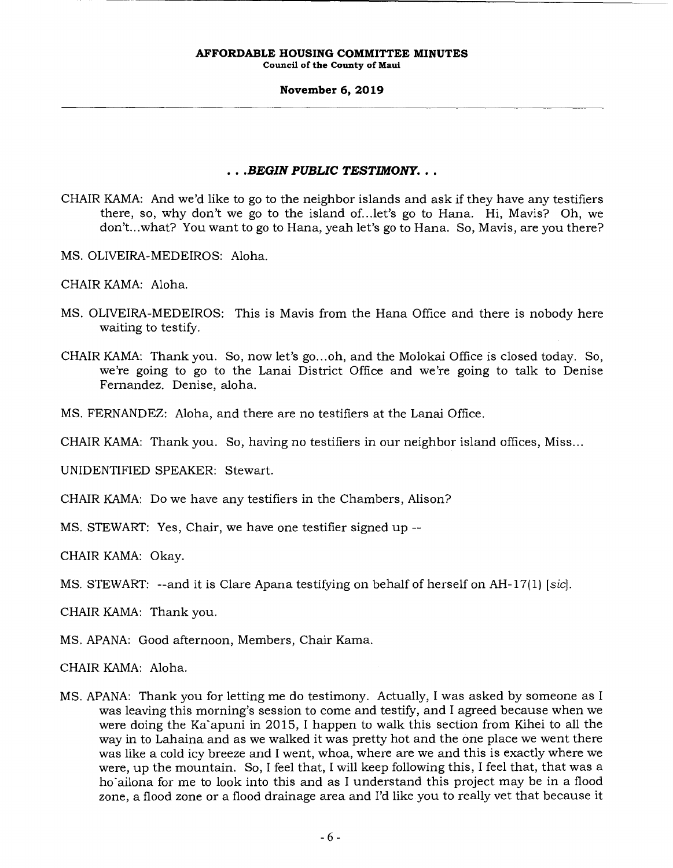**Council of the County of Maui** 

#### **November 6, 2019**

## *• .BEGIN PUBLIC TESTIMONY...*

- CHAIR KAMA: And we'd like to go to the neighbor islands and ask if they have any testifiers there, so, why don't we go to the island of.. .let's go to Hana. Hi, Mavis? Oh, we don't.. .what? You want to go to Hana, yeah let's go to Hana. So, Mavis, are you there?
- MS. OLIVEIRA-MEDEIROS: Aloha.
- CHAIR KAMA: Aloha.
- MS. OLIVEIRA-MEDEIROS: This is Mavis from the Hana Office and there is nobody here waiting to testify.
- CHAIR KAMA: Thank you. So, now let's go.. .oh, and the Molokai Office is closed today. So, we're going to go to the Lanai District Office and we're going to talk to Denise Fernandez. Denise, aloha.
- MS. FERNANDEZ: Aloha, and there are no testifiers at the Lanai Office.
- CHAIR KAMA: Thank you. So, having no testifiers in our neighbor island offices, Miss...

UNIDENTIFIED SPEAKER: Stewart.

- CHAIR KAMA: Do we have any testifiers in the Chambers, Alison?
- MS. STEWART: Yes, Chair, we have one testifier signed up --

CHAIR KAMA: Okay.

MS. STEWART: --and it is Clare Apana testifying on behalf of herself on AH-17(1) *[sic]*.

CHAIR KAMA: Thank you.

MS. APANA: Good afternoon, Members, Chair Kama.

CHAIR KAMA: Aloha.

MS. APANA: Thank you for letting me do testimony. Actually, I was asked by someone as I was leaving this morning's session to come and testify, and I agreed because when we were doing the Ka`apuni in 2015, I happen to walk this section from Kihei to all the way in to Lahaina and as we walked it was pretty hot and the one place we went there was like a cold icy breeze and I went, whoa, where are we and this is exactly where we were, up the mountain. So, I feel that, I will keep following this, I feel that, that was a ho'ailona for me to look into this and as I understand this project may be in a flood zone, a flood zone or a flood drainage area and I'd like you to really vet that because it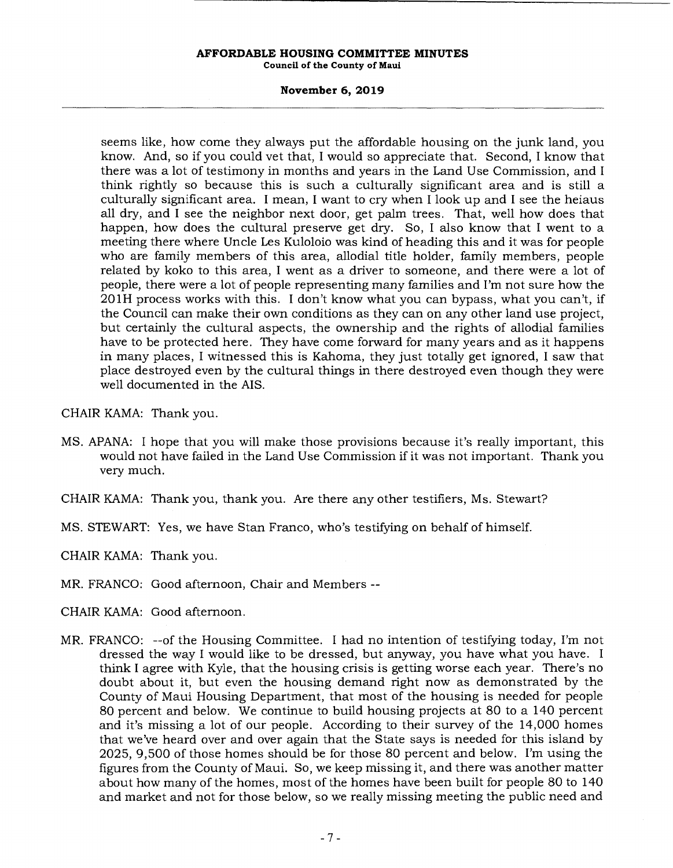**Council of the County of Maui** 

#### **November 6, 2019**

seems like, how come they always put the affordable housing on the junk land, you know. And, so if you could vet that, I would so appreciate that. Second, I know that there was a lot of testimony in months and years in the Land Use Commission, and I think rightly so because this is such a culturally significant area and is still a culturally significant area. I mean, I want to cry when I look up and I see the heiaus all dry, and I see the neighbor next door, get palm trees. That, well how does that happen, how does the cultural preserve get dry. So, I also know that I went to a meeting there where Uncle Les Kuloloio was kind of heading this and it was for people who are family members of this area, allodial title holder, family members, people related by koko to this area, I went as a driver to someone, and there were a lot of people, there were a lot of people representing many families and I'm not sure how the 201H process works with this. I don't know what you can bypass, what you can't, if the Council can make their own conditions as they can on any other land use project, but certainly the cultural aspects, the ownership and the rights of allodial families have to be protected here. They have come forward for many years and as it happens in many places, I witnessed this is Kahoma, they just totally get ignored, I saw that place destroyed even by the cultural things in there destroyed even though they were well documented in the AIS.

CHAIR KAMA: Thank you.

- MS. APANA: I hope that you will make those provisions because it's really important, this would not have failed in the Land Use Commission if it was not important. Thank you very much.
- CHAIR KAMA: Thank you, thank you. Are there any other testifiers, Ms. Stewart?
- MS. STEWART: Yes, we have Stan Franco, who's testifying on behalf of himself.

CHAIR KAMA: Thank you.

- MR. FRANCO: Good afternoon, Chair and Members --
- CHAIR KAMA: Good afternoon.
- MR. FRANCO: --of the Housing Committee. I had no intention of testifying today, I'm not dressed the way I would like to be dressed, but anyway, you have what you have. I think I agree with Kyle, that the housing crisis is getting worse each year. There's no doubt about it, but even the housing demand right now as demonstrated by the County of Maui Housing Department, that most of the housing is needed for people 80 percent and below. We continue to build housing projects at 80 to a 140 percent and it's missing a lot of our people. According to their survey of the 14,000 homes that we've heard over and over again that the State says is needed for this island by 2025, 9,500 of those homes should be for those 80 percent and below. I'm using the figures from the County of Maui. So, we keep missing it, and there was another matter about how many of the homes, most of the homes have been built for people 80 to 140 and market and not for those below, so we really missing meeting the public need and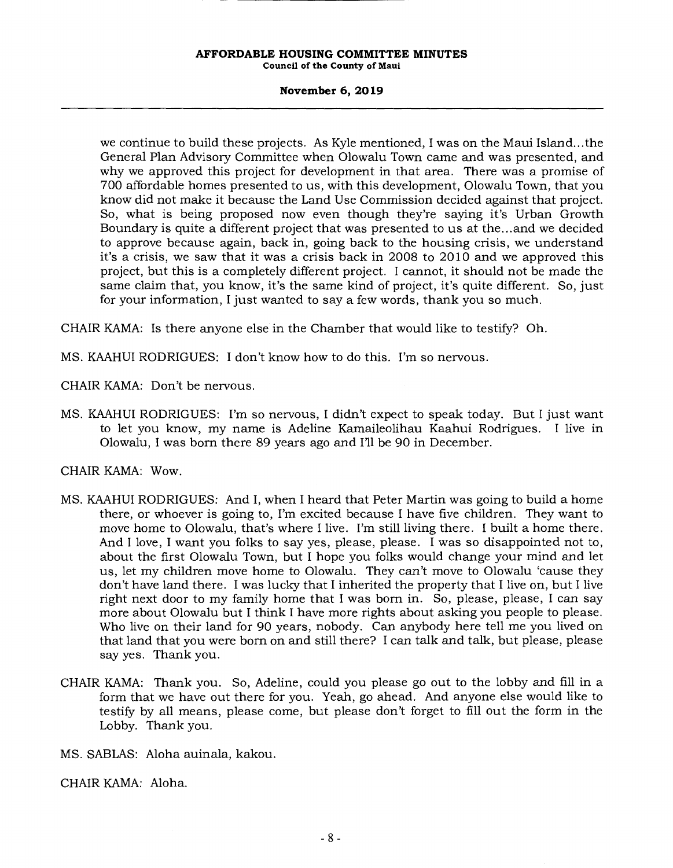**Council of the County of Maui** 

#### **November 6, 2019**

we continue to build these projects. As Kyle mentioned, I was on the Maui Island... the General Plan Advisory Committee when Olowalu Town came and was presented, and why we approved this project for development in that area. There was a promise of 700 affordable homes presented to us, with this development, Olowalu Town, that you know did not make it because the Land Use Commission decided against that project. So, what is being proposed now even though they're saying it's Urban Growth Boundary is quite a different project that was presented to us at the.. .and we decided to approve because again, back in, going back to the housing crisis, we understand it's a crisis, we saw that it was a crisis back in 2008 to 2010 and we approved this project, but this is a completely different project. I cannot, it should not be made the same claim that, you know, it's the same kind of project, it's quite different. So, just for your information, I just wanted to say a few words, thank you so much.

CHAIR KAMA: Is there anyone else in the Chamber that would like to testify? Oh.

MS. KAAHUI RODRIGUES: I don't know how to do this. I'm so nervous.

CHAIR KAMA: Don't be nervous.

MS. KAAHUI RODRIGUES: I'm so nervous, I didn't expect to speak today. But I just want to let you know, my name is Adeline Kamaileolihau Kaahui Rodrigues. I live in Olowalu, I was born there 89 years ago and I'll be 90 in December.

CHAIR KAMA: Wow.

- MS. KAAHUI RODRIGUES: And I, when I heard that Peter Martin was going to build a home there, or whoever is going to, I'm excited because I have five children. They want to move home to Olowalu, that's where I live. I'm still living there. I built a home there. And I love, I want you folks to say yes, please, please. I was so disappointed not to, about the first Olowalu Town, but I hope you folks would change your mind and let us, let my children move home to Olowalu. They can't move to Olowalu 'cause they don't have land there. I was lucky that I inherited the property that I live on, but I live right next door to my family home that I was born in. So, please, please, I can say more about Olowalu but I think I have more rights about asking you people to please. Who live on their land for 90 years, nobody. Can anybody here tell me you lived on that land that you were born on and still there? I can talk and talk, but please, please say yes. Thank you.
- CHAIR KAMA: Thank you. So, Adeline, could you please go out to the lobby and fill in a form that we have out there for you. Yeah, go ahead. And anyone else would like to testify by all means, please come, but please don't forget to fill out the form in the Lobby. Thank you.
- MS. SABLAS: Aloha auinala, kakou.

CHAIR KAMA: Aloha.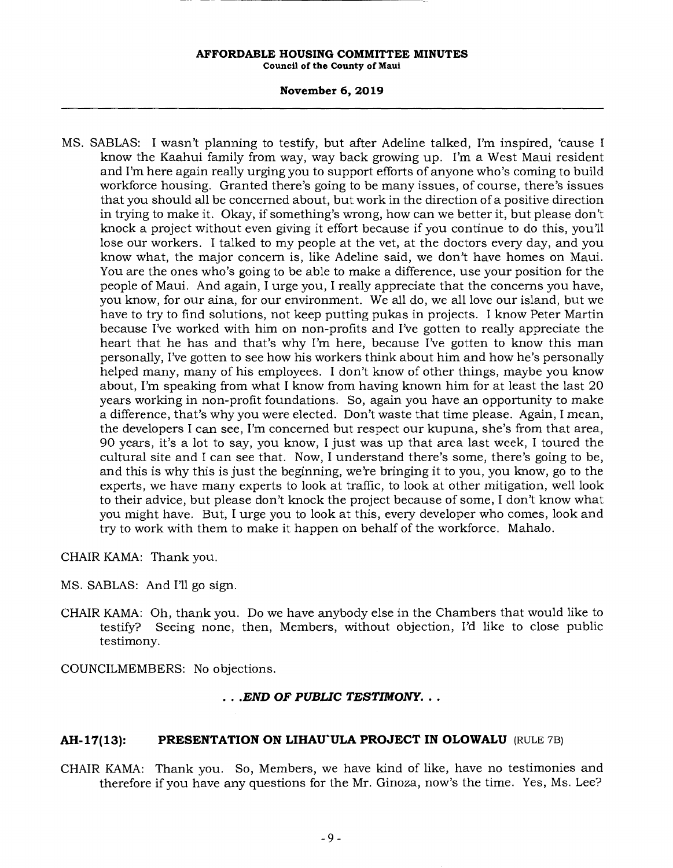**Council of the County of Maui** 

## **November 6, 2019**

MS. SABLAS: I wasn't planning to testify, but after Adeline talked, I'm inspired, 'cause I know the Kaahui family from way, way back growing up. I'm a West Maui resident and I'm here again really urging you to support efforts of anyone who's coming to build workforce housing. Granted there's going to be many issues, of course, there's issues that you should all be concerned about, but work in the direction of a positive direction in trying to make it. Okay, if something's wrong, how can we better it, but please don't knock a project without even giving it effort because if you continue to do this, you'll lose our workers. I talked to my people at the vet, at the doctors every day, and you know what, the major concern is, like Adeline said, we don't have homes on Maui. You are the ones who's going to be able to make a difference, use your position for the people of Maui. And again, I urge you, I really appreciate that the concerns you have, you know, for our aina, for our environment. We all do, we all love our island, but we have to try to find solutions, not keep putting pukas in projects. I know Peter Martin because I've worked with him on non-profits and I've gotten to really appreciate the heart that he has and that's why I'm here, because I've gotten to know this man personally, I've gotten to see how his workers think about him and how he's personally helped many, many of his employees. I don't know of other things, maybe you know about, I'm speaking from what I know from having known him for at least the last 20 years working in non-profit foundations. So, again you have an opportunity to make a difference, that's why you were elected. Don't waste that time please. Again, I mean, the developers I can see, I'm concerned but respect our kupuna, she's from that area, 90 years, it's a lot to say, you know, I just was up that area last week, I toured the cultural site and I can see that. Now, I understand there's some, there's going to be, and this is why this is just the beginning, we're bringing it to you, you know, go to the experts, we have many experts to look at traffic, to look at other mitigation, well look to their advice, but please don't knock the project because of some, I don't know what you might have. But, I urge you to look at this, every developer who comes, look and try to work with them to make it happen on behalf of the workforce. Mahalo.

CHAIR KAMA: Thank you.

- MS. SABLAS: And I'll go sign.
- CHAIR KAMA: Oh, thank you. Do we have anybody else in the Chambers that would like to testify? Seeing none, then, Members, without objection, I'd like to close public testimony.

COUNCILMEMBERS: No objections.

## *• .END OF PUBLIC TESTIMONY...*

## **AH-17(13): PRESENTATION ON LIHAU'ULA PROJECT IN OLOWALU** (RULE 7B)

CHAIR KAMA: Thank you. So, Members, we have kind of like, have no testimonies and therefore if you have any questions for the Mr. Ginoza, now's the time. Yes, Ms. Lee?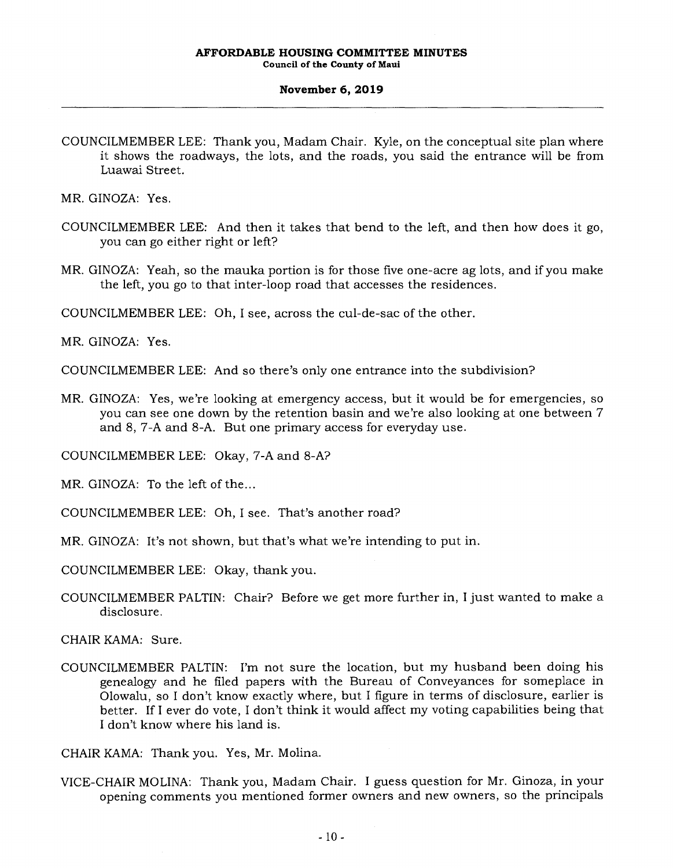#### **November 6, 2019**

COUNCILMEMBER LEE: Thank you, Madam Chair. Kyle, on the conceptual site plan where it shows the roadways, the lots, and the roads, you said the entrance will be from Luawai Street.

MR. GINOZA: Yes.

- COUNCILMEMBER LEE: And then it takes that bend to the left, and then how does it go, you can go either right or left?
- MR. GINOZA: Yeah, so the mauka portion is for those five one-acre ag lots, and if you make the left, you go to that inter-loop road that accesses the residences.

COUNCILMEMBER LEE: Oh, I see, across the cul-de-sac of the other.

MR. GINOZA: Yes.

COUNCILMEMBER LEE: And so there's only one entrance into the subdivision?

MR. GINOZA: Yes, we're looking at emergency access, but it would be for emergencies, so you can see one down by the retention basin and we're also looking at one between 7 and 8, 7-A and 8-A. But one primary access for everyday use.

COUNCILMEMBER LEE: Okay, 7-A and 8-A?

MR. GINOZA: To the left of the...

COUNCILMEMBER LEE: Oh, I see. That's another road?

MR. GINOZA: It's not shown, but that's what we're intending to put in.

COUNCILMEMBER LEE: Okay, thank you.

COUNCILMEMBER PALTIN: Chair? Before we get more further in, I just wanted to make a disclosure.

CHAIR KAMA: Sure.

COUNCILMEMBER PALTIN: I'm not sure the location, but my husband been doing his genealogy and he filed papers with the Bureau of Conveyances for someplace in Olowalu, so I don't know exactly where, but I figure in terms of disclosure, earlier is better. If I ever do vote, I don't think it would affect my voting capabilities being that I don't know where his land is.

CHAIR KAMA: Thank you. Yes, Mr. Molina.

VICE-CHAIR MOLINA: Thank you, Madam Chair. I guess question for Mr. Ginoza, in your opening comments you mentioned former owners and new owners, so the principals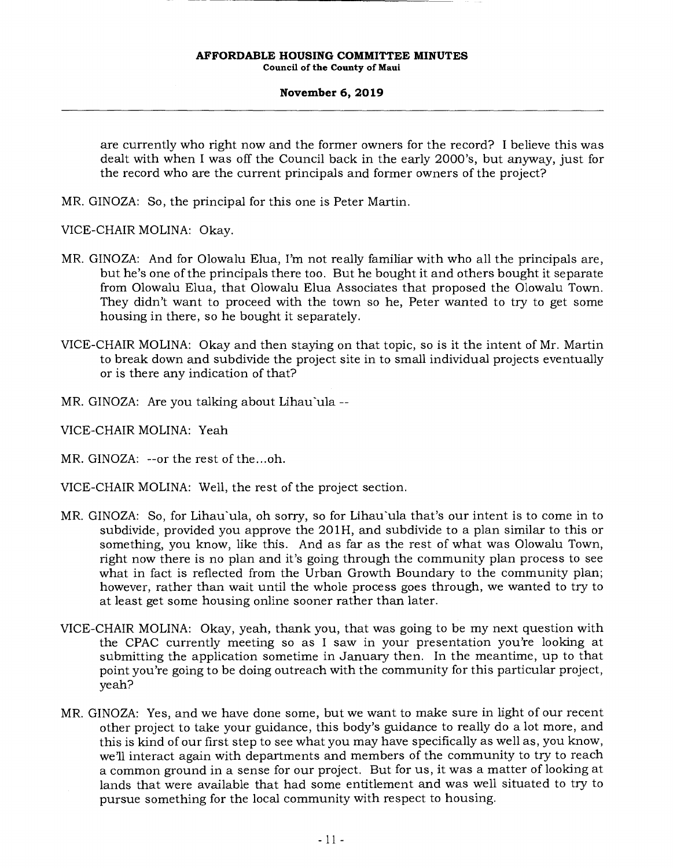#### **November 6, 2019**

are currently who right now and the former owners for the record? I believe this was dealt with when I was off the Council back in the early 2000's, but anyway, just for the record who are the current principals and former owners of the project?

MR. GINOZA: So, the principal for this one is Peter Martin.

VICE-CHAIR MOLINA: Okay.

- MR. GINOZA: And for Olowalu Elua, I'm not really familiar with who all the principals are, but he's one of the principals there too. But he bought it and others bought it separate from Olowalu Elua, that Olowalu Elua Associates that proposed the Olowalu Town. They didn't want to proceed with the town so he, Peter wanted to try to get some housing in there, so he bought it separately.
- VICE-CHAIR MOLINA: Okay and then staying on that topic, so is it the intent of Mr. Martin to break down and subdivide the project site in to small individual projects eventually or is there any indication of that?
- MR. GINOZA: Are you talking about Lihau'ula --
- VICE-CHAIR MOLINA: Yeah
- MR. GINOZA: --or the rest of the...oh.
- VICE-CHAIR MOLINA: Well, the rest of the project section.
- MR. GINOZA: So, for Lihau ula, oh sorry, so for Lihau ula that's our intent is to come in to subdivide, provided you approve the 20 1H, and subdivide to a plan similar to this or something, you know, like this. And as far as the rest of what was Olowalu Town, right now there is no plan and it's going through the community plan process to see what in fact is reflected from the Urban Growth Boundary to the community plan; however, rather than wait until the whole process goes through, we wanted to try to at least get some housing online sooner rather than later.
- VICE-CHAIR MOLINA: Okay, yeah, thank you, that was going to be my next question with the CPAC currently meeting so as I saw in your presentation you're looking at submitting the application sometime in January then. In the meantime, up to that point you're going to be doing outreach with the community for this particular project, yeah?
- MR. GINOZA: Yes, and we have done some, but we want to make sure in light of our recent other project to take your guidance, this body's guidance to really do a lot more, and this is kind of our first step to see what you may have specifically as well as, you know, we'll interact again with departments and members of the community to try to reach a common ground in a sense for our project. But for us, it was a matter of looking at lands that were available that had some entitlement and was well situated to try to pursue something for the local community with respect to housing.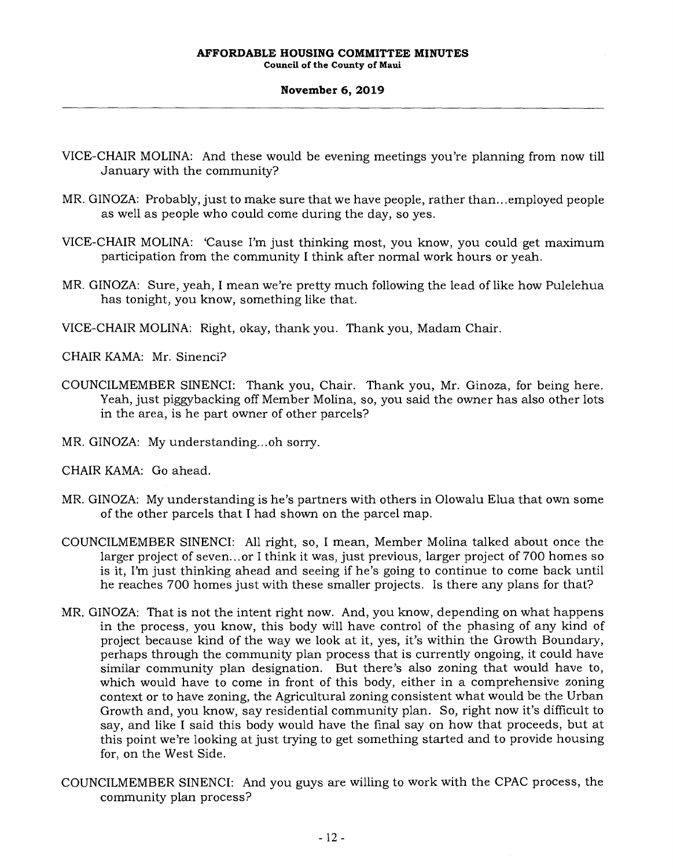**Council of the County of Maui** 

#### **November 6, 2019**

- VICE-CHAIR MOLINA: And these would be evening meetings you're planning from now till January with the community?
- MR. GINOZA: Probably, just to make sure that we have people, rather than.. .employed people as well as people who could come during the day, so yes.
- VICE-CHAIR MOLINA: 'Cause I'm just thinking most, you know, you could get maximum participation from the community I think after normal work hours or yeah.
- MR. GINOZA: Sure, yeah, I mean we're pretty much following the lead of like how Pulelehua has tonight, you know, something like that.
- VICE-CHAIR MOLINA: Right, okay, thank you. Thank you, Madam Chair.

CHAIR KAMA: Mr. Sinenci?

- COUNCILMEMBER SINENCI: Thank you, Chair. Thank you, Mr. Ginoza, for being here. Yeah, just piggybacking off Member Molina, so, you said the owner has also other lots in the area, is he part owner of other parcels?
- MR. GINOZA: My understanding.. .oh sorry.
- CHAIR KAMA: Go ahead.
- MR. GINOZA: My understanding is he's partners with others in Olowalu Elua that own some of the other parcels that I had shown on the parcel map.
- COUNCILMEMBER SINENCI: All right, so, I mean, Member Molina talked about once the larger project of seven.., or I think it was, just previous, larger project of 700 homes so is it, I'm just thinking ahead and seeing if he's going to continue to come back until he reaches 700 homes just with these smaller projects. Is there any plans for that?
- MR. GINOZA: That is not the intent right now. And, you know, depending on what happens in the process, you know, this body will have control of the phasing of any kind of project because kind of the way we look at it, yes, it's within the Growth Boundary, perhaps through the community plan process that is currently ongoing, it could have similar community plan designation. But there's also zoning that would have to, which would have to come in front of this body, either in a comprehensive zoning context or to have zoning, the Agricultural zoning consistent what would be the Urban Growth and, you know, say residential community plan. So, right now it's difficult to say, and like I said this body would have the final say on how that proceeds, but at this point we're looking at just trying to get something started and to provide housing for, on the West Side.
- COUNCILMEMBER SINENCI: And you guys are willing to work with the CPAC process, the community plan process?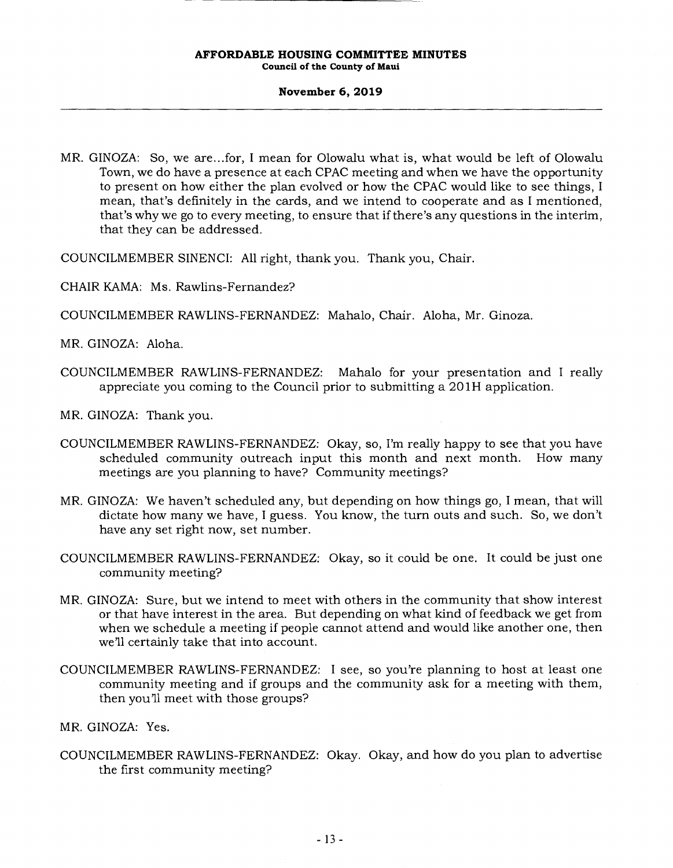#### **November 6, 2019**

MR. GINOZA: So, we are.. .for, I mean for Olowalu what is, what would be left of Olowalu Town, we do have a presence at each CPAC meeting and when we have the opportunity to present on how either the plan evolved or how the CPAC would like to see things, I mean, that's definitely in the cards, and we intend to cooperate and as I mentioned, that's why we go to every meeting, to ensure that if there's any questions in the interim, that they can be addressed.

COUNCILMEMBER SINENCI: All right, thank you. Thank you, Chair.

- CHAIR KAMA: Ms. Rawlins-Fernandez?
- COUNCILMEMBER RAWLINS-FERNANDEZ: Mahalo, Chair. Aloha, Mr. Ginoza.

MR. GINOZA: Aloha.

- COUNCILMEMBER RAWLINS-FERNANDEZ: Mahalo for your presentation and I really appreciate you coming to the Council prior to submitting a 201H application.
- MR. GINOZA: Thank you.
- COUNCILMEMBER RAWLINS-FERNANDEZ: Okay, so, I'm really happy to see that you have scheduled community outreach input this month and next month. How many meetings are you planning to have? Community meetings?
- MR. GINOZA: We haven't scheduled any, but depending on how things go, I mean, that will dictate how many we have, I guess. You know, the turn outs and such. So, we don't have any set right now, set number.
- COUNCILMEMBER RAWLINS-FERNANDEZ: Okay, so it could be one. It could be just one community meeting?
- MR. GINOZA: Sure, but we intend to meet with others in the community that show interest or that have interest in the area. But depending on what kind of feedback we get from when we schedule a meeting if people cannot attend and would like another one, then we'll certainly take that into account.
- COUNCILMEMBER RAWLINS-FERNANDEZ: I see, so you're planning to host at least one community meeting and if groups and the community ask for a meeting with them, then you'll meet with those groups?

MR. GINOZA: Yes.

COUNCILMEMBER RAWLINS-FERNANDEZ: Okay. Okay, and how do you plan to advertise the first community meeting?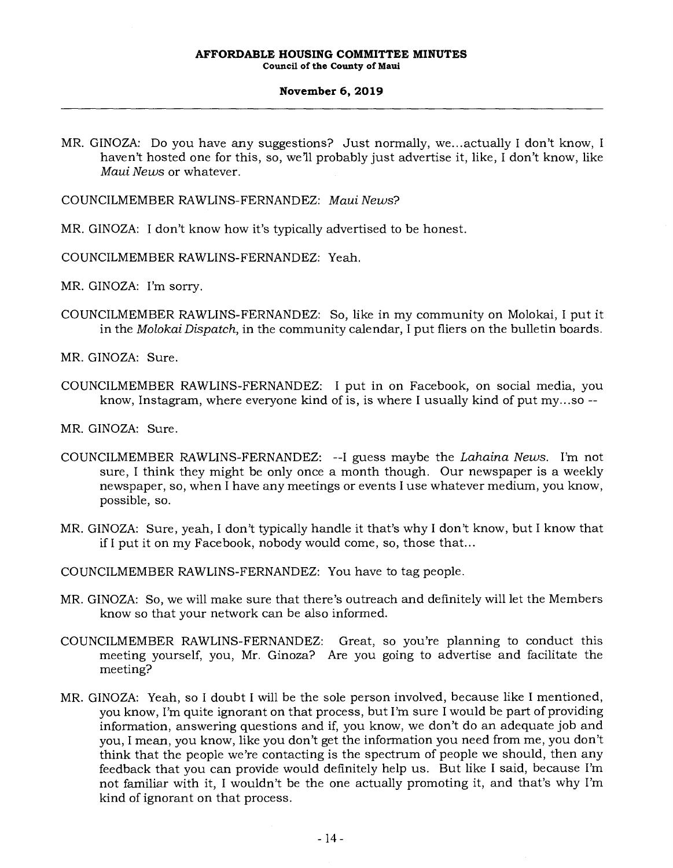#### **November 6, 2019**

MR. GINOZA: Do you have any suggestions? Just normally, we.,. actually I don't know, I haven't hosted one for this, so, we'll probably just advertise it, like, I don't know, like *Maui News* or whatever.

COUNCILMEMBER RAWLINS-FERNANDEZ: *Maui News?* 

MR. GINOZA: I don't know how it's typically advertised to be honest.

COUNCILMEMBER RAWLINS-FERNANDEZ: Yeah.

MR. GINOZA: I'm sorry.

COUNCILMEMBER RAWLINS-FERNANDEZ: So, like in my community on Molokai, I put it in the *Molokai Dispatch,* in the community calendar, I put fliers on the bulletin boards.

MR. GINOZA: Sure.

COUNCILMEMBER RAWLINS-FERNANDEZ: I put in on Facebook, on social media, you know, Instagram, where everyone kind of is, is where I usually kind of put my.. .so --

MR. GINOZA: Sure.

- COUNCILMEMBER RAWLINS-FERNANDEZ: --I guess maybe the *Lahaina News.* I'm not sure, I think they might be only once a month though. Our newspaper is a weekly newspaper, so, when I have any meetings or events I use whatever medium, you know, possible, so.
- MR. GINOZA: Sure, yeah, I don't typically handle it that's why I don't know, but I know that if I put it on my Facebook, nobody would come, so, those that...

COUNCILMEMBER RAWLINS-FERNANDEZ: You have to tag people.

- MR. GINOZA: So, we will make sure that there's outreach and definitely will let the Members know so that your network can be also informed.
- COUNCILMEMBER RAWLINS-FERNANDEZ: Great, so you're planning to conduct this meeting yourself, you, Mr. Ginoza? Are you going to advertise and facilitate the meeting?
- MR. GINOZA: Yeah, so I doubt I will be the sole person involved, because like I mentioned, you know, I'm quite ignorant on that process, but I'm sure I would be part of providing information, answering questions and if, you know, we don't do an adequate job and you, I mean, you know, like you don't get the information you need from me, you don't think that the people we're contacting is the spectrum of people we should, then any feedback that you can provide would definitely help us. But like I said, because I'm not familiar with it, I wouldn't be the one actually promoting it, and that's why I'm kind of ignorant on that process.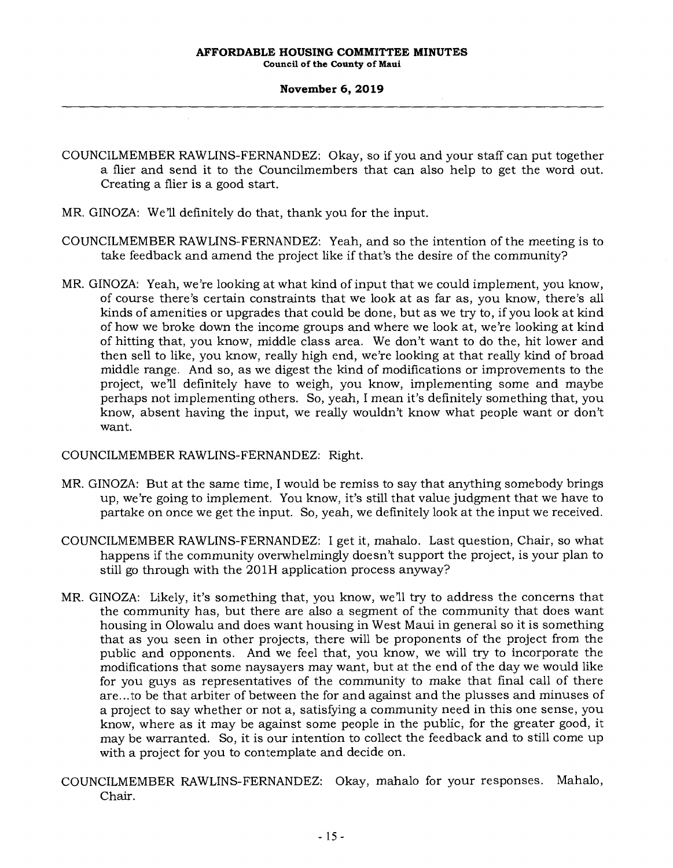**Council of the County of Maui** 

#### **November 6, 2019**

- COUNCILMEMBER RAWLINS-FERNANDEZ: Okay, so if you and your staff can put together a flier and send it to the Councilmembers that can also help to get the word out. Creating a flier is a good start.
- MR. GINOZA: We'll definitely do that, thank you for the input.
- COUNCILMEMBER RAWLINS-FERNANDEZ: Yeah, and so the intention of the meeting is to take feedback and amend the project like if that's the desire of the community?
- MR. GINOZA: Yeah, we're looking at what kind of input that we could implement, you know, of course there's certain constraints that we look at as far as, you know, there's all kinds of amenities or upgrades that could be done, but as we try to, if you look at kind of how we broke down the income groups and where we look at, we're looking at kind of hitting that, you know, middle class area. We don't want to do the, hit lower and then sell to like, you know, really high end, we're looking at that really kind of broad middle range. And so, as we digest the kind of modifications or improvements to the project, we'll definitely have to weigh, you know, implementing some and maybe perhaps not implementing others. So, yeah, I mean it's definitely something that, you know, absent having the input, we really wouldn't know what people want or don't want.

## COUNCILMEMBER RAWLINS-FERNANDEZ: Right.

- MR. GINOZA: But at the same time, I would be remiss to say that anything somebody brings up, we're going to implement. You know, it's still that value judgment that we have to partake on once we get the input. So, yeah, we definitely look at the input we received.
- COUNCILMEMBER RAWLINS-FERNANDEZ: I get it, mahalo. Last question, Chair, so what happens if the community overwhelmingly doesn't support the project, is your plan to still go through with the 201H application process anyway?
- MR. GINOZA: Likely, it's something that, you know, we'll try to address the concerns that the community has, but there are also a segment of the community that does want housing in Olowalu and does want housing in West Maui in general so it is something that as you seen in other projects, there will be proponents of the project from the public and opponents. And we feel that, you know, we will try to incorporate the modifications that some naysayers may want, but at the end of the day we would like for you guys as representatives of the community to make that final call of there are.. .to be that arbiter of between the for and against and the plusses and minuses of a project to say whether or not a, satisfying a community need in this one sense, you know, where as it may be against some people in the public, for the greater good, it may be warranted. So, it is our intention to collect the feedback and to still come up with a project for you to contemplate and decide on.
- COUNCILMEMBER RAWLINS-FERNANDEZ: Okay, mahalo for your responses. Mahalo, Chair.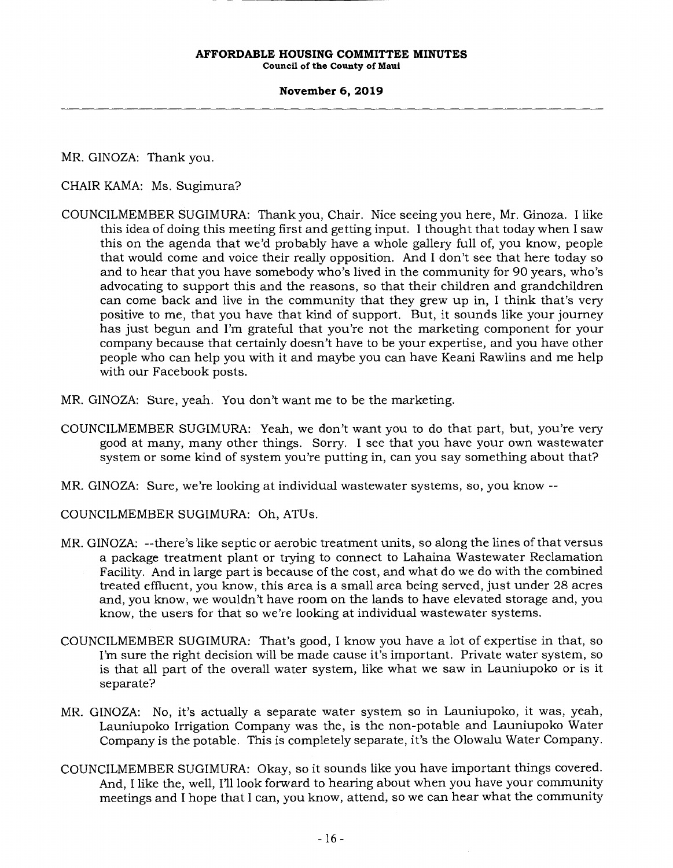#### **November 6, 2019**

MR. GINOZA: Thank you.

CHAIR KAMA: Ms. Sugimura?

- COUNCILMEMBER SUGIMURA: Thank you, Chair. Nice seeing you here, Mr. Ginoza. I like this idea of doing this meeting first and getting input. I thought that today when I saw this on the agenda that we'd probably have a whole gallery full of, you know, people that would come and voice their really opposition. And I don't see that here today so and to hear that you have somebody who's lived in the community for 90 years, who's advocating to support this and the reasons, so that their children and grandchildren can come back and live in the community that they grew up in, I think that's very positive to me, that you have that kind of support. But, it sounds like your journey has just begun and I'm grateful that you're not the marketing component for your company because that certainly doesn't have to be your expertise, and you have other people who can help you with it and maybe you can have Keani Rawlins and me help with our Facebook posts.
- MR. GINOZA: Sure, yeah. You don't want me to be the marketing.
- COUNCILMEMBER SUGIMURA: Yeah, we don't want you to do that part, but, you're very good at many, many other things. Sorry. I see that you have your own wastewater system or some kind of system you're putting in, can you say something about that?
- MR. GINOZA: Sure, we're looking at individual wastewater systems, so, you know --

COUNCILMEMBER SUGIMURA: Oh, ATUs.

- MR. GINOZA: --there's like septic or aerobic treatment units, so along the lines of that versus a package treatment plant or trying to connect to Lahaina Wastewater Reclamation Facility. And in large part is because of the cost, and what do we do with the combined treated effluent, you know, this area is a small area being served, just under 28 acres and, you know, we wouldn't have room on the lands to have elevated storage and, you know, the users for that so we're looking at individual wastewater systems.
- COUNCILMEMBER SUGIMURA: That's good, I know you have a lot of expertise in that, so I'm sure the right decision will be made cause it's important. Private water system, so is that all part of the overall water system, like what we saw in Launiupoko or is it separate?
- MR. GINOZA: No, it's actually a separate water system so in Launiupoko, it was, yeah, Launiupoko Irrigation Company was the, is the non-potable and Launiupoko Water Company is the potable. This is completely separate, it's the Olowalu Water Company.
- COUNCILMEMBER SUGIMURA: Okay, so it sounds like you have important things covered. And, I like the, well, I'll look forward to hearing about when you have your community meetings and I hope that I can, you know, attend, so we can hear what the community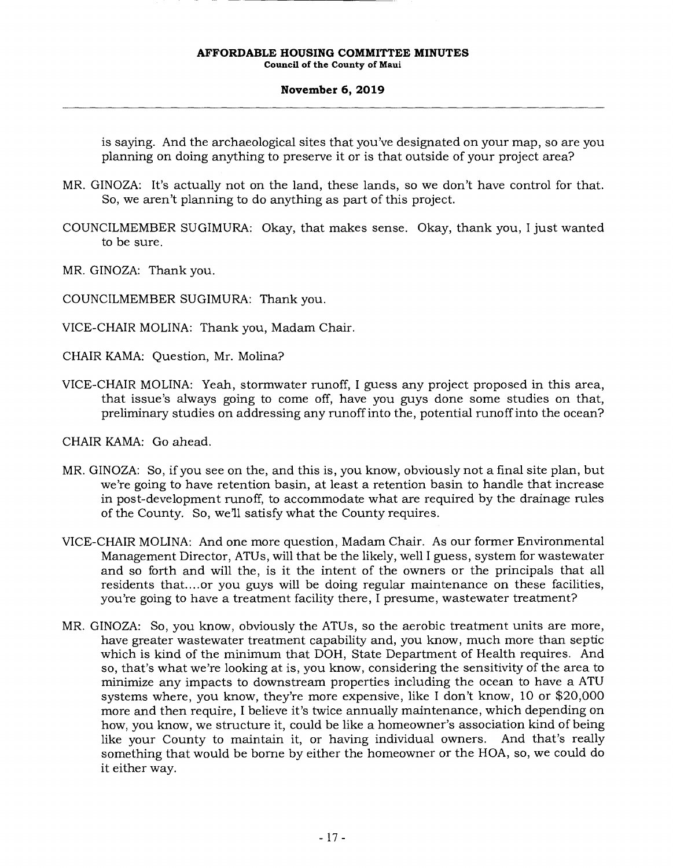#### **November 6, 2019**

is saying. And the archaeological sites that you've designated on your map, so are you planning on doing anything to preserve it or is that outside of your project area?

- MR. GINOZA: It's actually not on the land, these lands, so we don't have control for that. So, we aren't planning to do anything as part of this project.
- COUNCILMEMBER SUGIMURA: Okay, that makes sense. Okay, thank you, I just wanted to be sure.
- MR. GINOZA: Thank you.
- COUNCILMEMBER SUGIMURA: Thank you.
- VICE-CHAIR MOLINA: Thank you, Madam Chair.
- CHAIR KAMA: Question, Mr. Molina?
- VICE-CHAIR MOLINA: Yeah, stormwater runoff, I guess any project proposed in this area, that issue's always going to come off, have you guys done some studies on that, preliminary studies on addressing any runoff into the, potential runoff into the ocean?
- CHAIR KAMA: Go ahead.
- MR. GINOZA: So, if you see on the, and this is, you know, obviously not a final site plan, but we're going to have retention basin, at least a retention basin to handle that increase in post-development runoff, to accommodate what are required by the drainage rules of the County. So, we'll satisfy what the County requires.
- VICE-CHAIR MOLINA: And one more question, Madam Chair. As our former Environmental Management Director, ATUs, will that be the likely, well I guess, system for wastewater and so forth and will the, is it the intent of the owners or the principals that all residents that... .or you guys will be doing regular maintenance on these facilities, you're going to have a treatment facility there, I presume, wastewater treatment?
- MR. GINOZA: So, you know, obviously the ATUs, so the aerobic treatment units are more, have greater wastewater treatment capability and, you know, much more than septic which is kind of the minimum that DOH, State Department of Health requires. And so, that's what we're looking at is, you know, considering the sensitivity of the area to minimize any impacts to downstream properties including the ocean to have a ATU systems where, you know, they're more expensive, like I don't know, 10 or \$20,000 more and then require, I believe it's twice annually maintenance, which depending on how, you know, we structure it, could be like a homeowner's association kind of being like your County to maintain it, or having individual owners. And that's really something that would be borne by either the homeowner or the HOA, so, we could do it either way.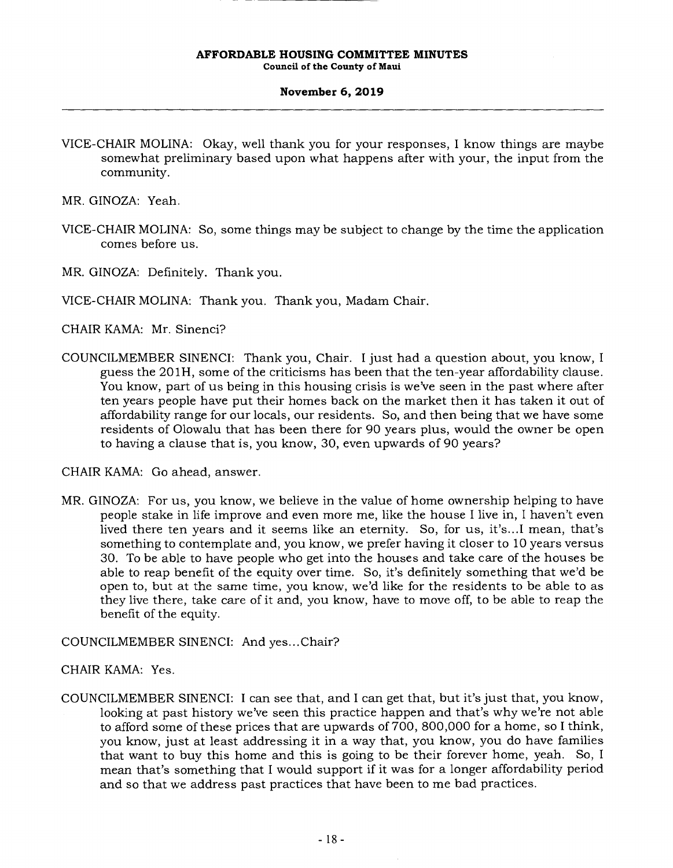#### **November 6, 2019**

VICE-CHAIR MOLINA: Okay, well thank you for your responses, I know things are maybe somewhat preliminary based upon what happens after with your, the input from the community.

MR. GINOZA: Yeah.

VICE-CHAIR MOLINA: So, some things may be subject to change by the time the application comes before us.

MR. GINOZA: Definitely. Thank you.

VICE-CHAIR MOLINA: Thank you. Thank you, Madam Chair.

CHAIR KAMA: Mr. Sinenci?

COUNCILMEMBER SINENCI: Thank you, Chair. I just had a question about, you know, I guess the 201H, some of the criticisms has been that the ten-year affordability clause. You know, part of us being in this housing crisis is we've seen in the past where after ten years people have put their homes back on the market then it has taken it out of affordability range for our locals, our residents. So, and then being that we have some residents of Olowalu that has been there for 90 years plus, would the owner be open to having a clause that is, you know, 30, even upwards of 90 years?

CHAIR KAMA: Go ahead, answer.

MR. GINOZA: For us, you know, we believe in the value of home ownership helping to have people stake in life improve and even more me, like the house I live in, I haven't even lived there ten years and it seems like an eternity. So, for us, it's.. .1 mean, that's something to contemplate and, you know, we prefer having it closer to 10 years versus 30. To be able to have people who get into the houses and take care of the houses be able to reap benefit of the equity over time. So, it's definitely something that we'd be open to, but at the same time, you know, we'd like for the residents to be able to as they live there, take care of it and, you know, have to move off, to be able to reap the benefit of the equity.

## COUNCILMEMBER SINENCI: And yes.. .Chair?

## CHAIR KAMA: Yes.

COUNCILMEMBER SINENCI: I can see that, and I can get that, but it's just that, you know, looking at past history we've seen this practice happen and that's why we're not able to afford some of these prices that are upwards of 700, 800,000 for a home, so I think, you know, just at least addressing it in a way that, you know, you do have families that want to buy this home and this is going to be their forever home, yeah. So, I mean that's something that I would support if it was for a longer affordability period and so that we address past practices that have been to me bad practices.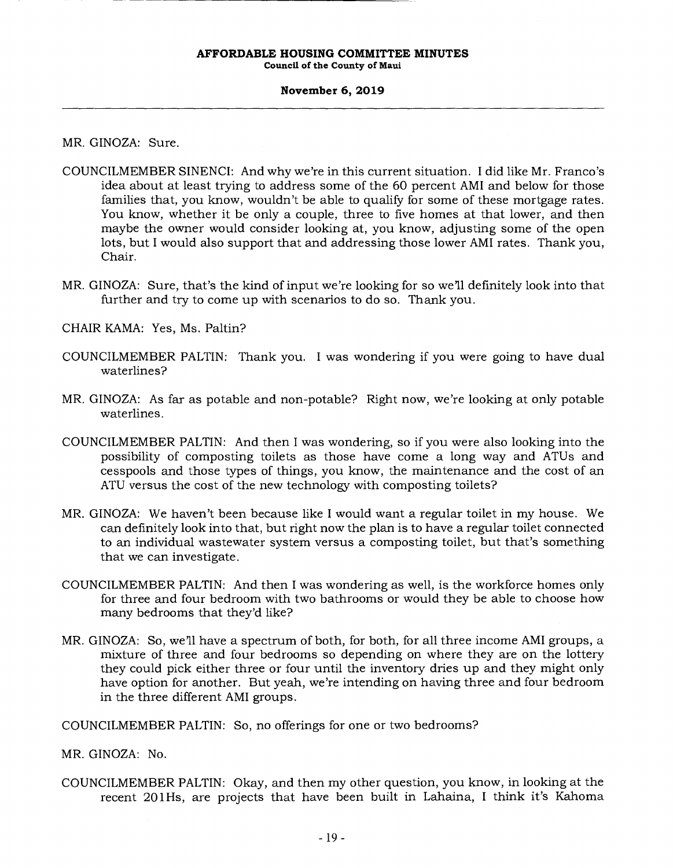**Council of the County of Maui** 

#### **November 6, 2019**

MR. GINOZA: Sure.

- COUNCILMEMBER SINENCI: And why we're in this current situation. I did like Mr. Franco's idea about at least trying to address some of the 60 percent AMI and below for those families that, you know, wouldn't be able to qualify for some of these mortgage rates. You know, whether it be only a couple, three to five homes at that lower, and then maybe the owner would consider looking at, you know, adjusting some of the open lots, but I would also support that and addressing those lower AMI rates. Thank you, Chair.
- MR. GINOZA: Sure, that's the kind of input we're looking for so we'll definitely look into that further and try to come up with scenarios to do so. Thank you.
- CHAIR KAMA: Yes, Ms. Paltin?
- COUNCILMEMBER PALTIN: Thank you. I was wondering if you were going to have dual waterlines?
- MR. GINOZA: As far as potable and non-potable? Right now, we're looking at only potable waterlines.
- COUNCILMEMBER PALTIN: And then I was wondering, so if you were also looking into the possibility of composting toilets as those have come a long way and ATUs and cesspools and those types of things, you know, the maintenance and the cost of an ATU versus the cost of the new technology with composting toilets?
- MR. GINOZA: We haven't been because like I would want a regular toilet in my house. We can definitely look into that, but right now the plan is to have a regular toilet connected to an individual wastewater system versus a composting toilet, but that's something that we can investigate.
- COUNCILMEMBER PALTIN: And then I was wondering as well, is the workforce homes only for three and four bedroom with two bathrooms or would they be able to choose how many bedrooms that they'd like?
- MR. GINOZA: So, we'll have a spectrum of both, for both, for all three income AMI groups, a mixture of three and four bedrooms so depending on where they are on the lottery they could pick either three or four until the inventory dries up and they might only have option for another. But yeah, we're intending on having three and four bedroom in the three different AMI groups.

COUNCILMEMBER PALTIN: So, no offerings for one or two bedrooms?

MR. GINOZA: No.

COUNCILMEMBER PALTIN: Okay, and then my other question, you know, in looking at the recent 20114s, are projects that have been built in Lahaina, I think it's Kahoma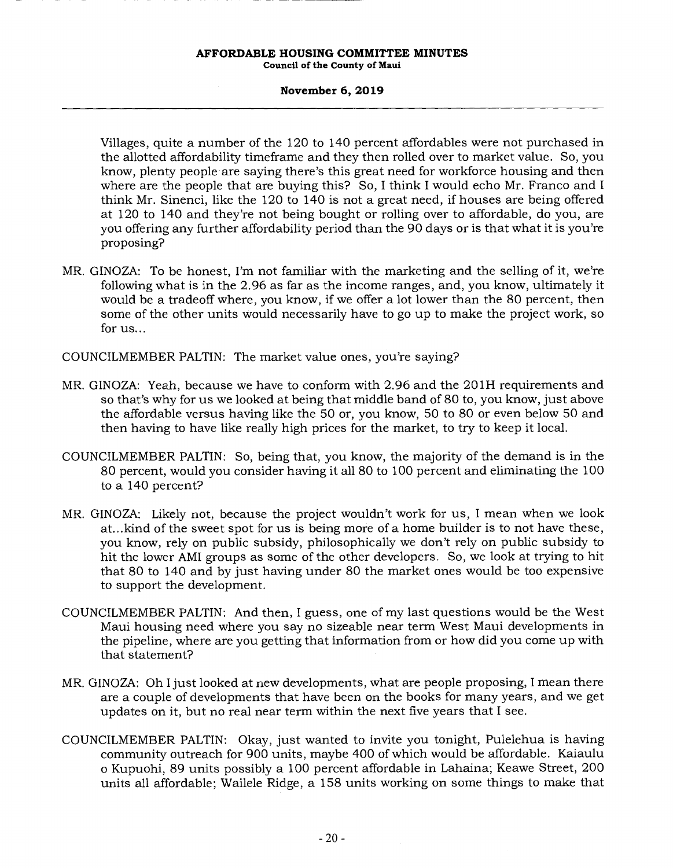#### **November 6, 2019**

Villages, quite a number of the 120 to 140 percent affordables were not purchased in the allotted affordability timeframe and they then rolled over to market value. So, you know, plenty people are saying there's this great need for workforce housing and then where are the people that are buying this? So, I think I would echo Mr. Franco and I think Mr. Sinenci, like the 120 to 140 is not a great need, if houses are being offered at 120 to 140 and they're not being bought or rolling over to affordable, do you, are you offering any further affordability period than the 90 days or is that what it is you're proposing?

MR. GINOZA: To be honest, I'm not familiar with the marketing and the selling of it, we're following what is in the 2.96 as far as the income ranges, and, you know, ultimately it would be a tradeoff where, you know, if we offer a lot lower than the 80 percent, then some of the other units would necessarily have to go up to make the project work, so for us...

COUNCILMEMBER PALTIN: The market value ones, you're saying?

- MR. GINOZA: Yeah, because we have to conform with 2.96 and the 201H requirements and so that's why for us we looked at being that middle band of 80 to, you know, just above the affordable versus having like the 50 or, you know, 50 to 80 or even below 50 and then having to have like really high prices for the market, to try to keep it local.
- COUNCILMEMBER PALTIN: So, being that, you know, the majority of the demand is in the 80 percent, would you consider having it all 80 to 100 percent and eliminating the 100 to a 140 percent?
- MR. GINOZA: Likely not, because the project wouldn't work for us, I mean when we look at.. .kind of the sweet spot for us is being more of a home builder is to not have these, you know, rely on public subsidy, philosophically we don't rely on public subsidy to hit the lower AMI groups as some of the other developers. So, we look at trying to hit that 80 to 140 and by just having under 80 the market ones would be too expensive to support the development.
- COUNCILMEMBER PALTIN: And then, I guess, one of my last questions would be the West Maui housing need where you say no sizeable near term West Maui developments in the pipeline, where are you getting that information from or how did you come up with that statement?
- MR. GINOZA: Oh I just looked at new developments, what are people proposing, I mean there are a couple of developments that have been on the books for many years, and we get updates on it, but no real near term within the next five years that I see.
- COUNCILMEMBER PALTIN: Okay, just wanted to invite you tonight, Pulelehua is having community outreach for 900 units, maybe 400 of which would be affordable. Kaiaulu o Kupuohi, 89 units possibly a 100 percent affordable in Lahaina; Keawe Street, 200 units all affordable; Wailele Ridge, a 158 units working on some things to make that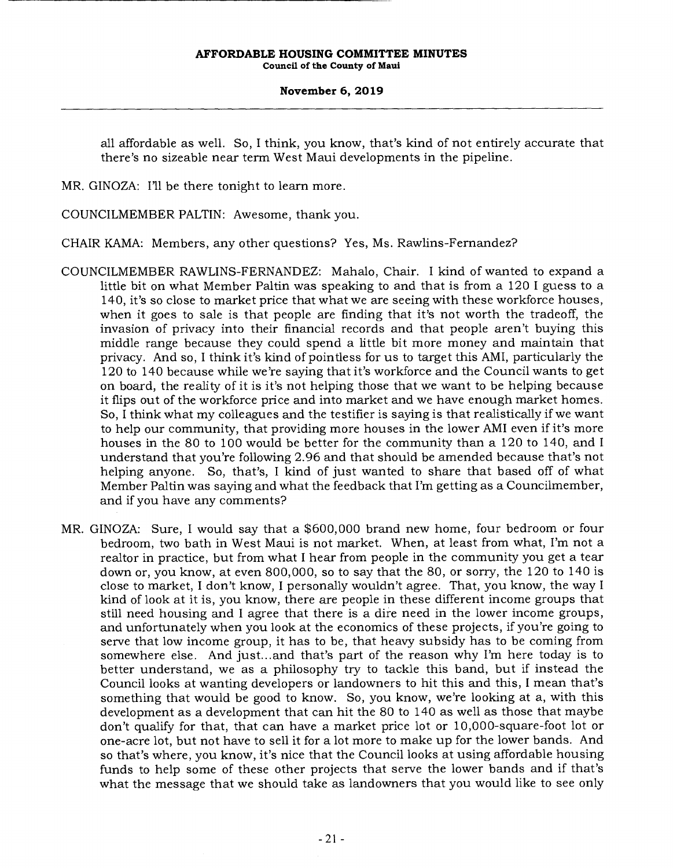**November 6, 2019** 

all affordable as well. So, I think, you know, that's kind of not entirely accurate that there's no sizeable near term West Maui developments in the pipeline.

MR. GINOZA: I'll be there tonight to learn more.

COUNCILMEMBER PALTIN: Awesome, thank you.

CHAIR KAMA: Members, any other questions? Yes, Ms. Rawlins-Fernandez?

- COUNCILMEMBER RAWLINS-FERNANDEZ: Mahalo, Chair. I kind of wanted to expand a little bit on what Member Paltin was speaking to and that is from a 120 I guess to a 140, it's so close to market price that what we are seeing with these workforce houses, when it goes to sale is that people are finding that it's not worth the tradeoff, the invasion of privacy into their financial records and that people aren't buying this middle range because they could spend a little bit more money and maintain that privacy. And so, I think it's kind of pointless for us to target this AMI, particularly the 120 to 140 because while we're saying that it's workforce and the Council wants to get on board, the reality of it is it's not helping those that we want to be helping because it flips out of the workforce price and into market and we have enough market homes. So, I think what my colleagues and the testifier is saying is that realistically if we want to help our community, that providing more houses in the lower AMI even if it's more houses in the 80 to 100 would be better for the community than a 120 to 140, and I understand that you're following 2.96 and that should be amended because that's not helping anyone. So, that's, I kind of just wanted to share that based off of what Member Paltin was saying and what the feedback that I'm getting as a Councilmember, and if you have any comments?
- MR. GINOZA: Sure, I would say that a \$600,000 brand new home, four bedroom or four bedroom, two bath in West Maui is not market. When, at least from what, I'm not a realtor in practice, but from what I hear from people in the community you get a tear down or, you know, at even 800,000, so to say that the 80, or sorry, the 120 to 140 is close to market, I don't know, I personally wouldn't agree. That, you know, the way I kind of look at it is, you know, there are people in these different income groups that still need housing and I agree that there is a dire need in the lower income groups, and unfortunately when you look at the economics of these projects, if you're going to serve that low income group, it has to be, that heavy subsidy has to be coming from somewhere else. And just.. .and that's part of the reason why I'm here today is to better understand, we as a philosophy try to tackle this band, but if instead the Council looks at wanting developers or landowners to hit this and this, I mean that's something that would be good to know. So, you know, we're looking at a, with this development as a development that can hit the 80 to 140 as well as those that maybe don't qualify for that, that can have a market price lot or 10,000-square-foot lot or one-acre lot, but not have to sell it for a lot more to make up for the lower bands. And so that's where, you know, it's nice that the Council looks at using affordable housing funds to help some of these other projects that serve the lower bands and if that's what the message that we should take as landowners that you would like to see only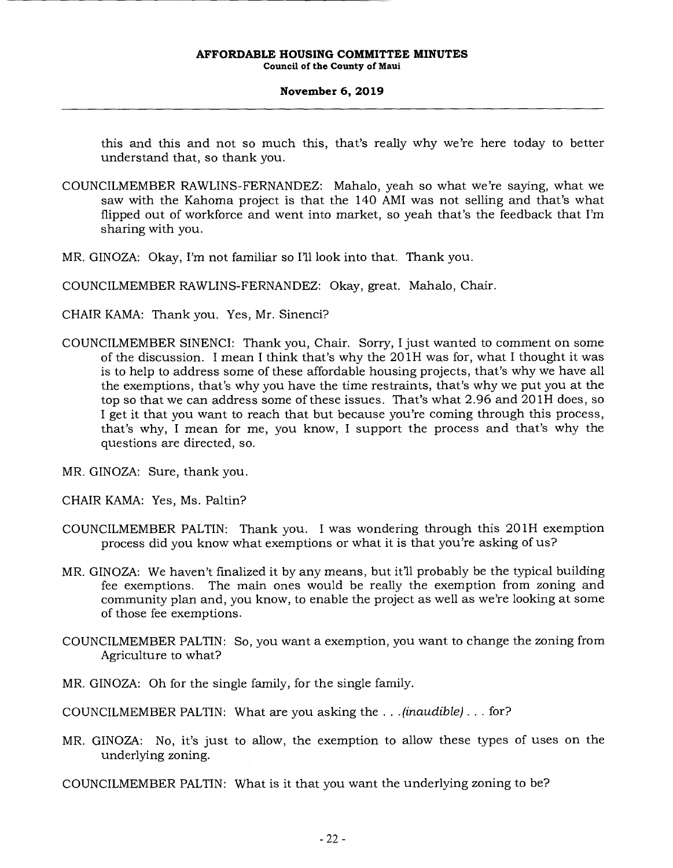#### **November 6, 2019**

this and this and not so much this, that's really why we're here today to better understand that, so thank you.

- COUNCILMEMBER RAWLINS-FERNANDEZ: Mahalo, yeah so what we're saying, what we saw with the Kahoma project is that the 140 AMI was not selling and that's what flipped out of workforce and went into market, so yeah that's the feedback that I'm sharing with you.
- MR. GINOZA: Okay, I'm not familiar so I'll look into that. Thank you.
- COUNCILMEMBER RAWLINS-FERNANDEZ: Okay, great. Mahalo, Chair.
- CHAIR KAMA: Thank you. Yes, Mr. Sinenci?
- COUNCILMEMBER SINENCI: Thank you, Chair. Sorry, I just wanted to comment on some of the discussion. I mean I think that's why the 201H was for, what I thought it was is to help to address some of these affordable housing projects, that's why we have all the exemptions, that's why you have the time restraints, that's why we put you at the top so that we can address some of these issues. That's what 2.96 and 201H does, so I get it that you want to reach that but because you're coming through this process, that's why, I mean for me, you know, I support the process and that's why the questions are directed, so.
- MR. GINOZA: Sure, thank you.
- CHAIR KAMA: Yes, Ms. Paltin?
- COUNCILMEMBER PALTIN: Thank you. I was wondering through this 201H exemption process did you know what exemptions or what it is that you're asking of us?
- MR. GINOZA: We haven't finalized it by any means, but it'll probably be the typical building fee exemptions. The main ones would be really the exemption from zoning and community plan and, you know, to enable the project as well as we're looking at some of those fee exemptions.
- COUNCILMEMBER PALTIN: So, you want a exemption, you want to change the zoning from Agriculture to what?
- MR. GINOZA: Oh for the single family, for the single family.
- COUNCILMEMBER PALTIN: What are you asking the. . . *(inaudible).. .* for?
- MR. GINOZA: No, it's just to allow, the exemption to allow these types of uses on the underlying zoning.
- COUNCILMEMBER PALTIN: What is it that you want the underlying zoning to be?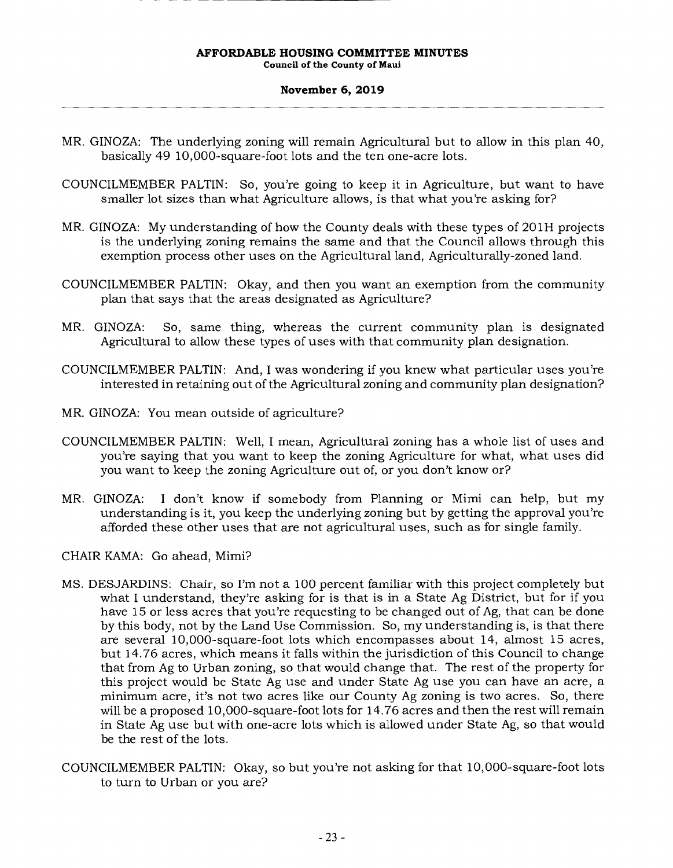#### **November 6, 2019**

- MR, GINOZA: The underlying zoning will remain Agricultural but to allow in this plan 40, basically 49 10,000-square-foot lots and the ten one-acre lots.
- COUNCILMEMBER PALTIN: So, you're going to keep it in Agriculture, but want to have smaller lot sizes than what Agriculture allows, is that what you're asking for?
- MR. GINOZA: My understanding of how the County deals with these types of 201H projects is the underlying zoning remains the same and that the Council allows through this exemption process other uses on the Agricultural land, Agriculturally-zoned land.
- COUNCILMEMBER PALTIN: Okay, and then you want an exemption from the community plan that says that the areas designated as Agriculture?
- MR. GINOZA: So, same thing, whereas the current community plan is designated Agricultural to allow these types of uses with that community plan designation.
- COUNCILMEMBER PALTIN: And, I was wondering if you knew what particular uses you're interested in retaining out of the Agricultural zoning and community plan designation?
- MR. GINOZA: You mean outside of agriculture?
- COUNCILMEMBER PALTIN: Well, I mean, Agricultural zoning has a whole list of uses and you're saying that you want to keep the zoning Agriculture for what, what uses did you want to keep the zoning Agriculture out of, or you don't know or?
- MR. GINOZA: I don't know if somebody from Planning or Mimi can help, but my understanding is it, you keep the underlying zoning but by getting the approval you're afforded these other uses that are not agricultural uses, such as for single family.

CHAIR KAMA: Go ahead, Mimi?

- MS. DESJARDINS: Chair, so I'm not a 100 percent familiar with this project completely but what I understand, they're asking for is that is in a State Ag District, but for if you have 15 or less acres that you're requesting to be changed out of Ag, that can be done by this body, not by the Land Use Commission. So, my understanding is, is that there are several 10,000-square-foot lots which encompasses about 14, almost 15 acres, but 14.76 acres, which means it falls within the jurisdiction of this Council to change that from Ag to Urban zoning, so that would change that. The rest of the property for this project would be State Ag use and under State Ag use you can have an acre, a minimum acre, it's not two acres like our County Ag zoning is two acres. So, there will be a proposed 10,000-square-foot lots for 14.76 acres and then the rest will remain in State Ag use but with one-acre lots which is allowed under State Ag, so that would be the rest of the lots.
- COUNCILMEMBER PALTIN: Okay, so but you're not asking for that 10,000-square-foot lots to turn to Urban or you are?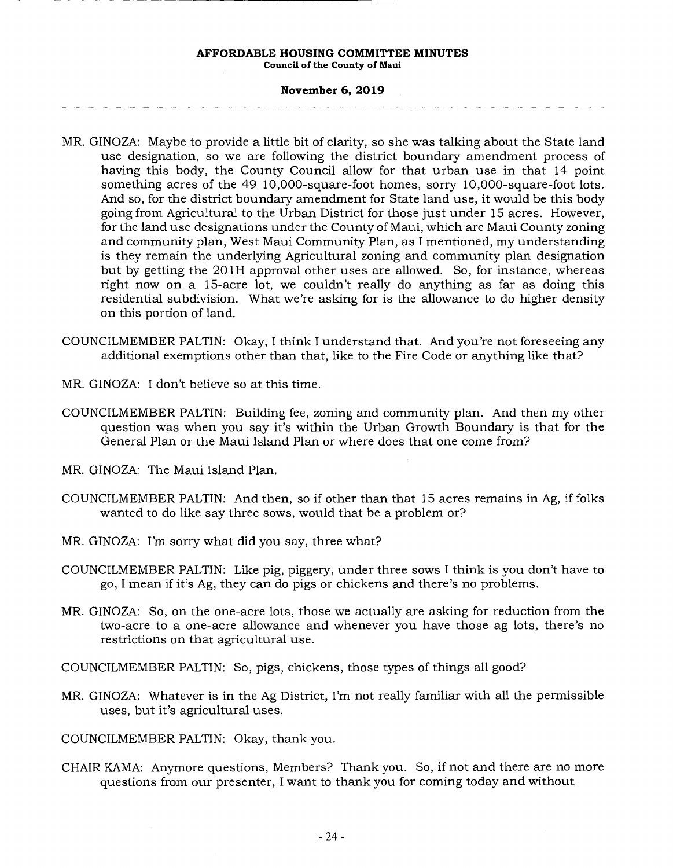**Council of the County of Maui** 

## **November 6, 2019**

- MR. GINOZA: Maybe to provide a little bit of clarity, so she was talking about the State land use designation, so we are following the district boundary amendment process of having this body, the County Council allow for that urban use in that 14 point something acres of the 49 10,000-square-foot homes, sorry 10,000-square-foot lots. And so, for the district boundary amendment for State land use, it would be this body going from Agricultural to the Urban District for those just under 15 acres. However, for the land use designations under the County of Maui, which are Maui County zoning and community plan, West Maui Community Plan, as I mentioned, my understanding is they remain the underlying Agricultural zoning and community plan designation but by getting the 201H approval other uses are allowed. So, for instance, whereas right now on a 15-acre lot, we couldn't really do anything as far as doing this residential subdivision. What we're asking for is the allowance to do higher density on this portion of land.
- COUNCILMEMBER PALTIN: Okay, I think I understand that. And you're not foreseeing any additional exemptions other than that, like to the Fire Code or anything like that?
- MR. GINOZA: I don't believe so at this time.
- COUNCILMEMBER PALTIN: Building fee, zoning and community plan. And then my other question was when you say it's within the Urban Growth Boundary is that for the General Plan or the Maui Island Plan or where does that one come from?
- MR. GINOZA: The Maui Island Plan.
- COUNCILMEMBER PALTIN: And then, so if other than that 15 acres remains in Ag, if folks wanted to do like say three sows, would that be a problem or?
- MR. GINOZA: I'm sorry what did you say, three what?
- COUNCILMEMBER PALTIN: Like pig, piggery, under three sows I think is you don't have to go, I mean if it's Ag, they can do pigs or chickens and there's no problems.
- MR. GINOZA: So, on the one-acre lots, those we actually are asking for reduction from the two-acre to a one-acre allowance and whenever you have those ag lots, there's no restrictions on that agricultural use.
- COUNCILMEMBER PALTIN: So, pigs, chickens, those types of things all good?
- MR. GINOZA: Whatever is in the Ag District, I'm not really familiar with all the permissible uses, but it's agricultural uses.
- COUNCILMEMBER PALTIN: Okay, thank you.
- CHAIR KAMA: Anymore questions, Members? Thank you. So, if not and there are no more questions from our presenter, I want to thank you for coming today and without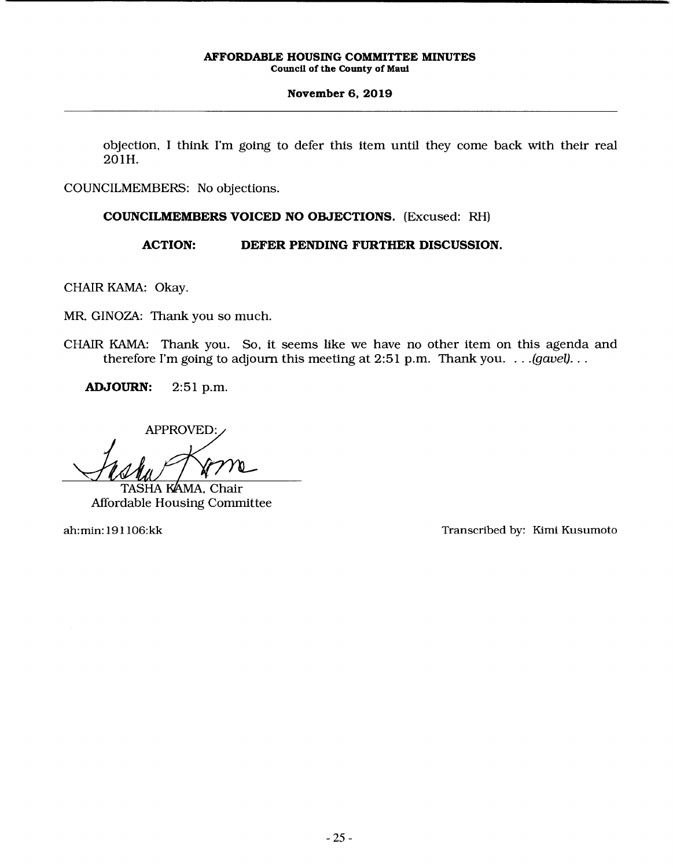## **November 6, 2019**

objection, I think I'm going to defer this item until they come back with their real 201H.

COUNCILMEMBERS: No objections.

## **COUNCILMEMBERS VOICED NO OBJECTIONS.** (Excused: RH)

## **ACTION: DEFER PENDING FURTHER DISCUSSION.**

CHAIR KAMA: Okay.

MR. GINOZA: Thank you so much.

CHAIR KAMA: Thank you. So, it seems like we have no other item on this agenda and therefore I'm going to adjourn this meeting at 2:51 p.m. Thank you. . . *.(gavel)...* 

**ADJOURN:** 2:51 p.m.

APPROVED:

TASHA KAMA, Chair Affordable Housing Committee

ah:min: 191 106:kk Transcribed by: Kim! Kusumoto